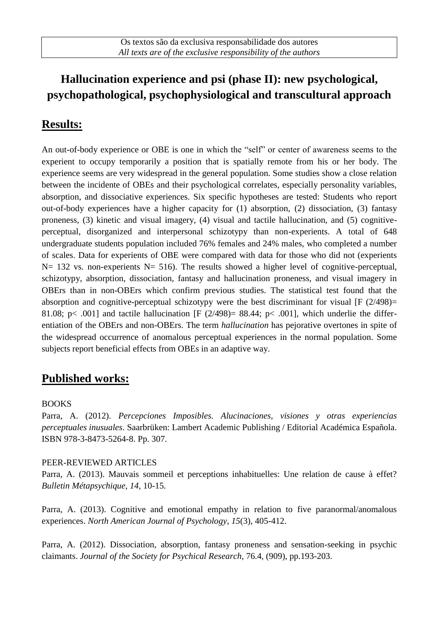# **Hallucination experience and psi (phase II): new psychological, psychopathological, psychophysiological and transcultural approach**

## **Results:**

An out-of-body experience or OBE is one in which the "self" or center of awareness seems to the experient to occupy temporarily a position that is spatially remote from his or her body. The experience seems are very widespread in the general population. Some studies show a close relation between the incidente of OBEs and their psychological correlates, especially personality variables, absorption, and dissociative experiences. Six specific hypotheses are tested: Students who report out-of-body experiences have a higher capacity for (1) absorption, (2) dissociation, (3) fantasy proneness, (3) kinetic and visual imagery, (4) visual and tactile hallucination, and (5) cognitiveperceptual, disorganized and interpersonal schizotypy than non-experients. A total of 648 undergraduate students population included 76% females and 24% males, who completed a number of scales. Data for experients of OBE were compared with data for those who did not (experients N= 132 vs. non-experients N= 516). The results showed a higher level of cognitive-perceptual, schizotypy, absorption, dissociation, fantasy and hallucination proneness, and visual imagery in OBErs than in non-OBErs which confirm previous studies. The statistical test found that the absorption and cognitive-perceptual schizotypy were the best discriminant for visual [F (2/498)= 81.08; p< .001] and tactile hallucination [F  $(2/498)$ = 88.44; p< .001], which underlie the differentiation of the OBErs and non-OBErs. The term *hallucination* has pejorative overtones in spite of the widespread occurrence of anomalous perceptual experiences in the normal population. Some subjects report beneficial effects from OBEs in an adaptive way.

## **Published works:**

#### BOOKS

Parra, A. (2012). *Percepciones Imposibles. Alucinaciones, visiones y otras experiencias perceptuales inusuales*. Saarbrüken: Lambert Academic Publishing / Editorial Académica Española. ISBN 978-3-8473-5264-8. Pp. 307.

#### PEER-REVIEWED ARTICLES

Parra, A. (2013). Mauvais sommeil et perceptions inhabituelles: Une relation de cause à effet? *Bulletin Métapsychique, 14,* 10-15.

Parra, A. (2013). Cognitive and emotional empathy in relation to five paranormal/anomalous experiences. *North American Journal of Psychology*, *15*(3), 405-412.

Parra, A. (2012). Dissociation, absorption, fantasy proneness and sensation-seeking in psychic claimants. *Journal of the Society for Psychical Research,* 76.4, (909), pp.193-203.